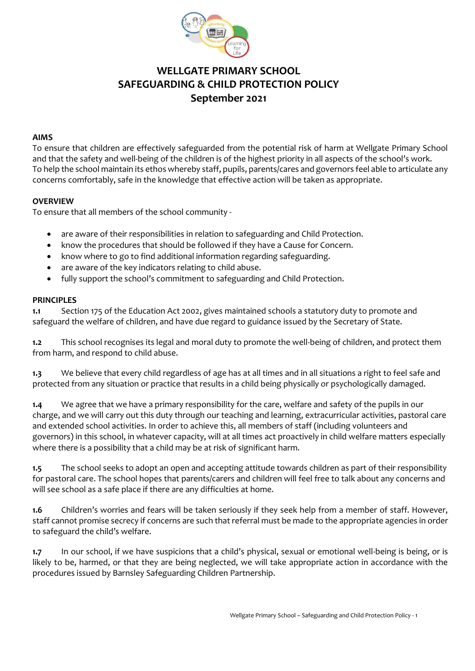

# **WELLGATE PRIMARY SCHOOL SAFEGUARDING & CHILD PROTECTION POLICY September 2021**

#### **AIMS**

To ensure that children are effectively safeguarded from the potential risk of harm at Wellgate Primary School and that the safety and well-being of the children is of the highest priority in all aspects of the school's work. To help the school maintain its ethos whereby staff, pupils, parents/cares and governors feel able to articulate any concerns comfortably, safe in the knowledge that effective action will be taken as appropriate.

### **OVERVIEW**

To ensure that all members of the school community -

- are aware of their responsibilities in relation to safeguarding and Child Protection.
- know the procedures that should be followed if they have a Cause for Concern.
- know where to go to find additional information regarding safeguarding.
- are aware of the key indicators relating to child abuse.
- fully support the school's commitment to safeguarding and Child Protection.

#### **PRINCIPLES**

**1.1** Section 175 of the Education Act 2002, gives maintained schools a statutory duty to promote and safeguard the welfare of children, and have due regard to guidance issued by the Secretary of State.

**1.2** This school recognises its legal and moral duty to promote the well-being of children, and protect them from harm, and respond to child abuse.

**1.3** We believe that every child regardless of age has at all times and in all situations a right to feel safe and protected from any situation or practice that results in a child being physically or psychologically damaged.

**1.4** We agree that we have a primary responsibility for the care, welfare and safety of the pupils in our charge, and we will carry out this duty through our teaching and learning, extracurricular activities, pastoral care and extended school activities. In order to achieve this, all members of staff (including volunteers and governors) in this school, in whatever capacity, will at all times act proactively in child welfare matters especially where there is a possibility that a child may be at risk of significant harm.

**1.5** The school seeks to adopt an open and accepting attitude towards children as part of their responsibility for pastoral care. The school hopes that parents/carers and children will feel free to talk about any concerns and will see school as a safe place if there are any difficulties at home.

**1.6** Children's worries and fears will be taken seriously if they seek help from a member of staff. However, staff cannot promise secrecy if concerns are such that referral must be made to the appropriate agencies in order to safeguard the child's welfare.

**1.7** In our school, if we have suspicions that a child's physical, sexual or emotional well-being is being, or is likely to be, harmed, or that they are being neglected, we will take appropriate action in accordance with the procedures issued by Barnsley Safeguarding Children Partnership.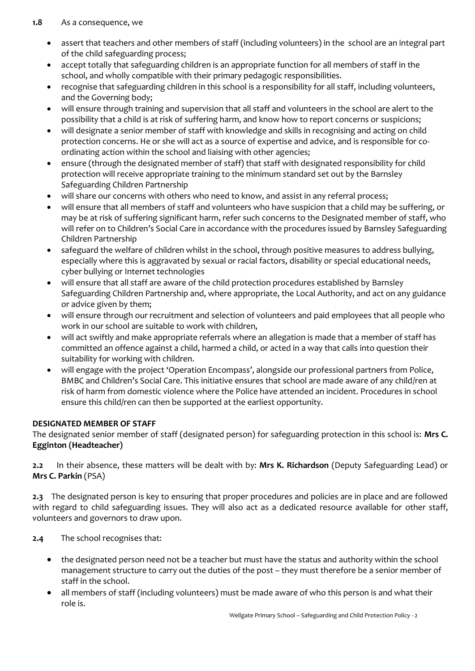- assert that teachers and other members of staff (including volunteers) in the school are an integral part of the child safeguarding process;
- accept totally that safeguarding children is an appropriate function for all members of staff in the school, and wholly compatible with their primary pedagogic responsibilities.
- recognise that safeguarding children in this school is a responsibility for all staff, including volunteers, and the Governing body;
- will ensure through training and supervision that all staff and volunteers in the school are alert to the possibility that a child is at risk of suffering harm, and know how to report concerns or suspicions;
- will designate a senior member of staff with knowledge and skills in recognising and acting on child protection concerns. He or she will act as a source of expertise and advice, and is responsible for coordinating action within the school and liaising with other agencies;
- ensure (through the designated member of staff) that staff with designated responsibility for child protection will receive appropriate training to the minimum standard set out by the Barnsley Safeguarding Children Partnership
- will share our concerns with others who need to know, and assist in any referral process;
- will ensure that all members of staff and volunteers who have suspicion that a child may be suffering, or may be at risk of suffering significant harm, refer such concerns to the Designated member of staff, who will refer on to Children's Social Care in accordance with the procedures issued by Barnsley Safeguarding Children Partnership
- safeguard the welfare of children whilst in the school, through positive measures to address bullying, especially where this is aggravated by sexual or racial factors, disability or special educational needs, cyber bullying or Internet technologies
- will ensure that all staff are aware of the child protection procedures established by Barnsley Safeguarding Children Partnership and, where appropriate, the Local Authority, and act on any guidance or advice given by them;
- will ensure through our recruitment and selection of volunteers and paid employees that all people who work in our school are suitable to work with children,
- will act swiftly and make appropriate referrals where an allegation is made that a member of staff has committed an offence against a child, harmed a child, or acted in a way that calls into question their suitability for working with children.
- will engage with the project 'Operation Encompass', alongside our professional partners from Police, BMBC and Children's Social Care. This initiative ensures that school are made aware of any child/ren at risk of harm from domestic violence where the Police have attended an incident. Procedures in school ensure this child/ren can then be supported at the earliest opportunity.

# **DESIGNATED MEMBER OF STAFF**

The designated senior member of staff (designated person) for safeguarding protection in this school is: **Mrs C. Egginton (Headteacher)**

**2.2** In their absence, these matters will be dealt with by: **Mrs K. Richardson** (Deputy Safeguarding Lead) or **Mrs C. Parkin** (PSA)

**2.3** The designated person is key to ensuring that proper procedures and policies are in place and are followed with regard to child safeguarding issues. They will also act as a dedicated resource available for other staff, volunteers and governors to draw upon.

**2.4** The school recognises that:

- the designated person need not be a teacher but must have the status and authority within the school management structure to carry out the duties of the post – they must therefore be a senior member of staff in the school.
- all members of staff (including volunteers) must be made aware of who this person is and what their role is.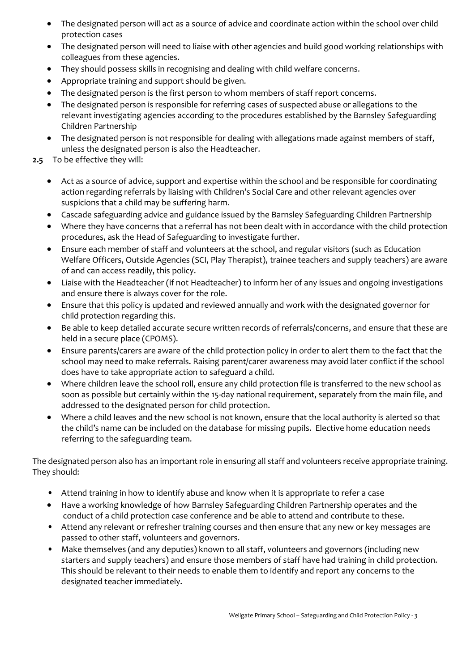- The designated person will act as a source of advice and coordinate action within the school over child protection cases
- The designated person will need to liaise with other agencies and build good working relationships with colleagues from these agencies.
- They should possess skills in recognising and dealing with child welfare concerns.
- Appropriate training and support should be given.
- The designated person is the first person to whom members of staff report concerns.
- The designated person is responsible for referring cases of suspected abuse or allegations to the relevant investigating agencies according to the procedures established by the Barnsley Safeguarding Children Partnership
- The designated person is not responsible for dealing with allegations made against members of staff, unless the designated person is also the Headteacher.

# **2.5** To be effective they will:

- Act as a source of advice, support and expertise within the school and be responsible for coordinating action regarding referrals by liaising with Children's Social Care and other relevant agencies over suspicions that a child may be suffering harm.
- Cascade safeguarding advice and guidance issued by the Barnsley Safeguarding Children Partnership
- Where they have concerns that a referral has not been dealt with in accordance with the child protection procedures, ask the Head of Safeguarding to investigate further.
- Ensure each member of staff and volunteers at the school, and regular visitors (such as Education Welfare Officers, Outside Agencies (SCI, Play Therapist), trainee teachers and supply teachers) are aware of and can access readily, this policy.
- Liaise with the Headteacher (if not Headteacher) to inform her of any issues and ongoing investigations and ensure there is always cover for the role.
- Ensure that this policy is updated and reviewed annually and work with the designated governor for child protection regarding this.
- Be able to keep detailed accurate secure written records of referrals/concerns, and ensure that these are held in a secure place (CPOMS).
- Ensure parents/carers are aware of the child protection policy in order to alert them to the fact that the school may need to make referrals. Raising parent/carer awareness may avoid later conflict if the school does have to take appropriate action to safeguard a child.
- Where children leave the school roll, ensure any child protection file is transferred to the new school as soon as possible but certainly within the 15-day national requirement, separately from the main file, and addressed to the designated person for child protection.
- Where a child leaves and the new school is not known, ensure that the local authority is alerted so that the child's name can be included on the database for missing pupils. Elective home education needs referring to the safeguarding team.

The designated person also has an important role in ensuring all staff and volunteers receive appropriate training. They should:

- Attend training in how to identify abuse and know when it is appropriate to refer a case
- Have a working knowledge of how Barnsley Safeguarding Children Partnership operates and the conduct of a child protection case conference and be able to attend and contribute to these.
- Attend any relevant or refresher training courses and then ensure that any new or key messages are passed to other staff, volunteers and governors.
- Make themselves (and any deputies) known to all staff, volunteers and governors (including new starters and supply teachers) and ensure those members of staff have had training in child protection. This should be relevant to their needs to enable them to identify and report any concerns to the designated teacher immediately.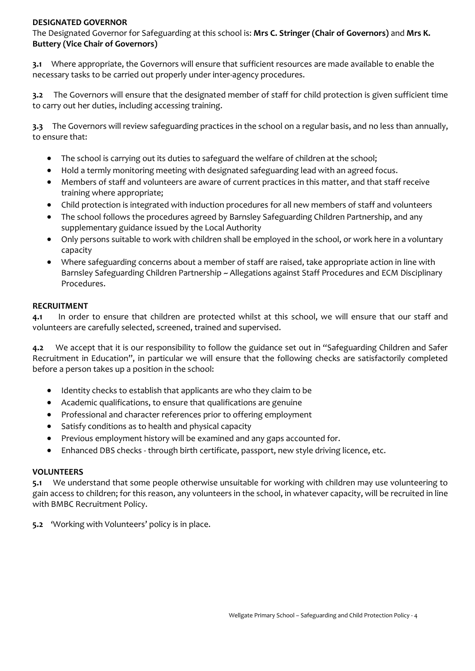### **DESIGNATED GOVERNOR**

The Designated Governor for Safeguarding at this school is: **Mrs C. Stringer (Chair of Governors)** and **Mrs K. Buttery (Vice Chair of Governors)**

**3.1** Where appropriate, the Governors will ensure that sufficient resources are made available to enable the necessary tasks to be carried out properly under inter-agency procedures.

**3.2** The Governors will ensure that the designated member of staff for child protection is given sufficient time to carry out her duties, including accessing training.

**3.3** The Governors will review safeguarding practices in the school on a regular basis, and no less than annually, to ensure that:

- The school is carrying out its duties to safeguard the welfare of children at the school;
- Hold a termly monitoring meeting with designated safeguarding lead with an agreed focus.
- Members of staff and volunteers are aware of current practices in this matter, and that staff receive training where appropriate;
- Child protection is integrated with induction procedures for all new members of staff and volunteers
- The school follows the procedures agreed by Barnsley Safeguarding Children Partnership, and any supplementary guidance issued by the Local Authority
- Only persons suitable to work with children shall be employed in the school, or work here in a voluntary capacity
- Where safeguarding concerns about a member of staff are raised, take appropriate action in line with Barnsley Safeguarding Children Partnership ~ Allegations against Staff Procedures and ECM Disciplinary Procedures.

### **RECRUITMENT**

**4.1** In order to ensure that children are protected whilst at this school, we will ensure that our staff and volunteers are carefully selected, screened, trained and supervised.

**4.2** We accept that it is our responsibility to follow the guidance set out in "Safeguarding Children and Safer Recruitment in Education", in particular we will ensure that the following checks are satisfactorily completed before a person takes up a position in the school:

- Identity checks to establish that applicants are who they claim to be
- Academic qualifications, to ensure that qualifications are genuine
- Professional and character references prior to offering employment
- Satisfy conditions as to health and physical capacity
- Previous employment history will be examined and any gaps accounted for.
- Enhanced DBS checks through birth certificate, passport, new style driving licence, etc.

#### **VOLUNTEERS**

**5.1** We understand that some people otherwise unsuitable for working with children may use volunteering to gain access to children; for this reason, any volunteers in the school, in whatever capacity, will be recruited in line with BMBC Recruitment Policy.

**5.2** 'Working with Volunteers' policy is in place.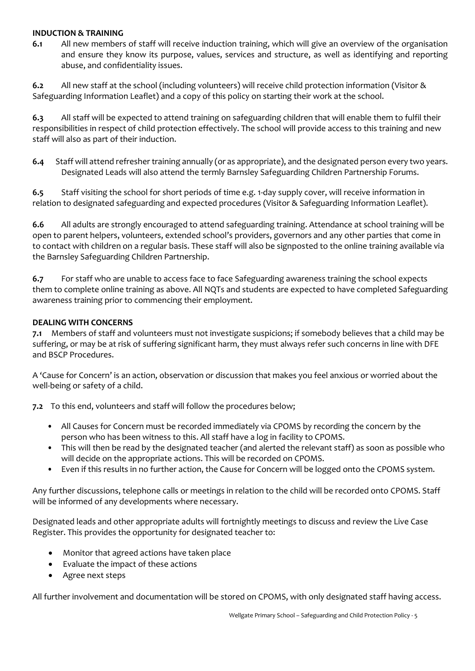#### **INDUCTION & TRAINING**

**6.1** All new members of staff will receive induction training, which will give an overview of the organisation and ensure they know its purpose, values, services and structure, as well as identifying and reporting abuse, and confidentiality issues.

**6.2** All new staff at the school (including volunteers) will receive child protection information (Visitor & Safeguarding Information Leaflet) and a copy of this policy on starting their work at the school.

**6.3** All staff will be expected to attend training on safeguarding children that will enable them to fulfil their responsibilities in respect of child protection effectively. The school will provide access to this training and new staff will also as part of their induction.

**6.4** Staff will attend refresher training annually (or as appropriate), and the designated person every two years. Designated Leads will also attend the termly Barnsley Safeguarding Children Partnership Forums.

**6.5** Staff visiting the school for short periods of time e.g. 1-day supply cover, will receive information in relation to designated safeguarding and expected procedures (Visitor & Safeguarding Information Leaflet).

**6.6** All adults are strongly encouraged to attend safeguarding training. Attendance at school training will be open to parent helpers, volunteers, extended school's providers, governors and any other parties that come in to contact with children on a regular basis. These staff will also be signposted to the online training available via the Barnsley Safeguarding Children Partnership.

**6.7** For staff who are unable to access face to face Safeguarding awareness training the school expects them to complete online training as above. All NQTs and students are expected to have completed Safeguarding awareness training prior to commencing their employment.

### **DEALING WITH CONCERNS**

**7.1** Members of staff and volunteers must not investigate suspicions; if somebody believes that a child may be suffering, or may be at risk of suffering significant harm, they must always refer such concerns in line with DFE and BSCP Procedures.

A 'Cause for Concern' is an action, observation or discussion that makes you feel anxious or worried about the well-being or safety of a child.

**7.2** To this end, volunteers and staff will follow the procedures below;

- All Causes for Concern must be recorded immediately via CPOMS by recording the concern by the person who has been witness to this. All staff have a log in facility to CPOMS.
- This will then be read by the designated teacher (and alerted the relevant staff) as soon as possible who will decide on the appropriate actions. This will be recorded on CPOMS.
- Even if this results in no further action, the Cause for Concern will be logged onto the CPOMS system.

Any further discussions, telephone calls or meetings in relation to the child will be recorded onto CPOMS. Staff will be informed of any developments where necessary.

Designated leads and other appropriate adults will fortnightly meetings to discuss and review the Live Case Register. This provides the opportunity for designated teacher to:

- Monitor that agreed actions have taken place
- Evaluate the impact of these actions
- Agree next steps

All further involvement and documentation will be stored on CPOMS, with only designated staff having access.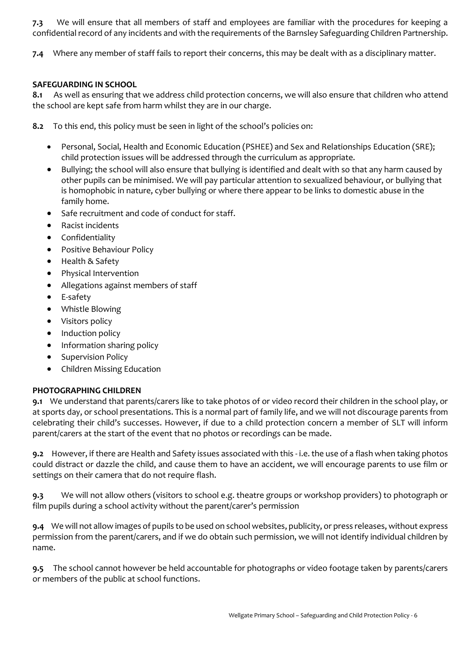**7.3** We will ensure that all members of staff and employees are familiar with the procedures for keeping a confidential record of any incidents and with the requirements of the Barnsley Safeguarding Children Partnership.

**7.4** Where any member of staff fails to report their concerns, this may be dealt with as a disciplinary matter.

### **SAFEGUARDING IN SCHOOL**

**8.1** As well as ensuring that we address child protection concerns, we will also ensure that children who attend the school are kept safe from harm whilst they are in our charge.

- **8.2** To this end, this policy must be seen in light of the school's policies on:
	- Personal, Social, Health and Economic Education (PSHEE) and Sex and Relationships Education (SRE); child protection issues will be addressed through the curriculum as appropriate.
	- Bullying; the school will also ensure that bullying is identified and dealt with so that any harm caused by other pupils can be minimised. We will pay particular attention to sexualized behaviour, or bullying that is homophobic in nature, cyber bullying or where there appear to be links to domestic abuse in the family home.
	- Safe recruitment and code of conduct for staff.
	- Racist incidents
	- Confidentiality
	- Positive Behaviour Policy
	- Health & Safety
	- Physical Intervention
	- Allegations against members of staff
	- E-safety
	- Whistle Blowing
	- Visitors policy
	- Induction policy
	- Information sharing policy
	- Supervision Policy
	- Children Missing Education

### **PHOTOGRAPHING CHILDREN**

**9.1** We understand that parents/carers like to take photos of or video record their children in the school play, or at sports day, or school presentations. This is a normal part of family life, and we will not discourage parents from celebrating their child's successes. However, if due to a child protection concern a member of SLT will inform parent/carers at the start of the event that no photos or recordings can be made.

**9.2** However, if there are Health and Safety issues associated with this - i.e. the use of a flash when taking photos could distract or dazzle the child, and cause them to have an accident, we will encourage parents to use film or settings on their camera that do not require flash.

**9.3** We will not allow others (visitors to school e.g. theatre groups or workshop providers) to photograph or film pupils during a school activity without the parent/carer's permission

**9.4** We will not allow images of pupils to be used on school websites, publicity, or press releases, without express permission from the parent/carers, and if we do obtain such permission, we will not identify individual children by name.

**9.5** The school cannot however be held accountable for photographs or video footage taken by parents/carers or members of the public at school functions.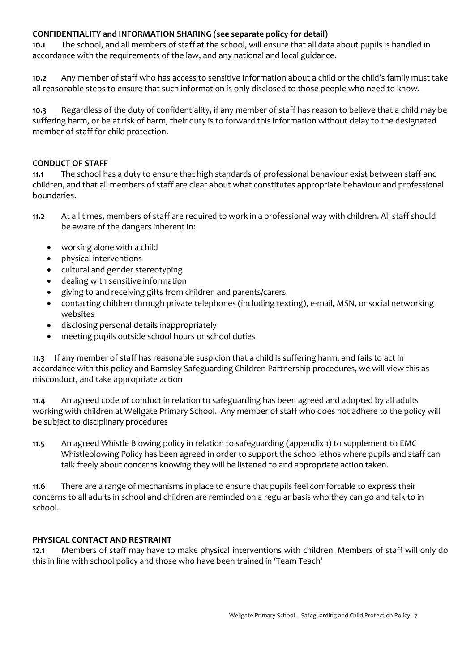# **CONFIDENTIALITY and INFORMATION SHARING (see separate policy for detail)**

**10.1** The school, and all members of staff at the school, will ensure that all data about pupils is handled in accordance with the requirements of the law, and any national and local guidance.

**10.2** Any member of staff who has access to sensitive information about a child or the child's family must take all reasonable steps to ensure that such information is only disclosed to those people who need to know.

**10.3** Regardless of the duty of confidentiality, if any member of staff has reason to believe that a child may be suffering harm, or be at risk of harm, their duty is to forward this information without delay to the designated member of staff for child protection.

#### **CONDUCT OF STAFF**

**11.1** The school has a duty to ensure that high standards of professional behaviour exist between staff and children, and that all members of staff are clear about what constitutes appropriate behaviour and professional boundaries.

- **11.2** At all times, members of staff are required to work in a professional way with children. All staff should be aware of the dangers inherent in:
	- working alone with a child
	- physical interventions
	- cultural and gender stereotyping
	- dealing with sensitive information
	- giving to and receiving gifts from children and parents/carers
	- contacting children through private telephones (including texting), e-mail, MSN, or social networking websites
	- disclosing personal details inappropriately
	- meeting pupils outside school hours or school duties

**11.3** If any member of staff has reasonable suspicion that a child is suffering harm, and fails to act in accordance with this policy and Barnsley Safeguarding Children Partnership procedures, we will view this as misconduct, and take appropriate action

**11.4** An agreed code of conduct in relation to safeguarding has been agreed and adopted by all adults working with children at Wellgate Primary School. Any member of staff who does not adhere to the policy will be subject to disciplinary procedures

**11.5** An agreed Whistle Blowing policy in relation to safeguarding (appendix 1) to supplement to EMC Whistleblowing Policy has been agreed in order to support the school ethos where pupils and staff can talk freely about concerns knowing they will be listened to and appropriate action taken.

**11.6** There are a range of mechanisms in place to ensure that pupils feel comfortable to express their concerns to all adults in school and children are reminded on a regular basis who they can go and talk to in school.

### **PHYSICAL CONTACT AND RESTRAINT**

**12.1** Members of staff may have to make physical interventions with children. Members of staff will only do this in line with school policy and those who have been trained in 'Team Teach'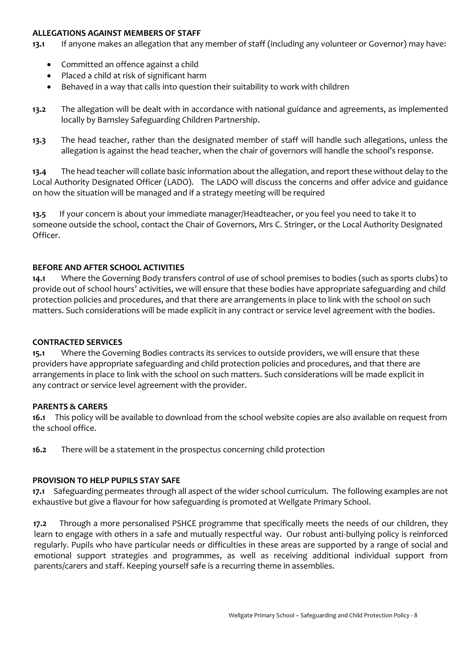#### **ALLEGATIONS AGAINST MEMBERS OF STAFF**

**13.1** If anyone makes an allegation that any member of staff (including any volunteer or Governor) may have:

- Committed an offence against a child
- Placed a child at risk of significant harm
- Behaved in a way that calls into question their suitability to work with children
- **13.2** The allegation will be dealt with in accordance with national guidance and agreements, as implemented locally by Barnsley Safeguarding Children Partnership.
- **13.3** The head teacher, rather than the designated member of staff will handle such allegations, unless the allegation is against the head teacher, when the chair of governors will handle the school's response.

**13.4** The head teacher will collate basic information about the allegation, and report these without delay to the Local Authority Designated Officer (LADO). The LADO will discuss the concerns and offer advice and guidance on how the situation will be managed and if a strategy meeting will be required

**13.5** If your concern is about your immediate manager/Headteacher, or you feel you need to take it to someone outside the school, contact the Chair of Governors, Mrs C. Stringer, or the Local Authority Designated Officer.

### **BEFORE AND AFTER SCHOOL ACTIVITIES**

**14.1** Where the Governing Body transfers control of use of school premises to bodies (such as sports clubs) to provide out of school hours' activities, we will ensure that these bodies have appropriate safeguarding and child protection policies and procedures, and that there are arrangements in place to link with the school on such matters. Such considerations will be made explicit in any contract or service level agreement with the bodies.

### **CONTRACTED SERVICES**

**15.1** Where the Governing Bodies contracts its services to outside providers, we will ensure that these providers have appropriate safeguarding and child protection policies and procedures, and that there are arrangements in place to link with the school on such matters. Such considerations will be made explicit in any contract or service level agreement with the provider.

### **PARENTS & CARERS**

**16.1** This policy will be available to download from the school website copies are also available on request from the school office.

**16.2** There will be a statement in the prospectus concerning child protection

### **PROVISION TO HELP PUPILS STAY SAFE**

**17.1** Safeguarding permeates through all aspect of the wider school curriculum. The following examples are not exhaustive but give a flavour for how safeguarding is promoted at Wellgate Primary School.

 **17.2** Through a more personalised PSHCE programme that specifically meets the needs of our children, they learn to engage with others in a safe and mutually respectful way. Our robust anti-bullying policy is reinforced regularly. Pupils who have particular needs or difficulties in these areas are supported by a range of social and emotional support strategies and programmes, as well as receiving additional individual support from parents/carers and staff. Keeping yourself safe is a recurring theme in assemblies.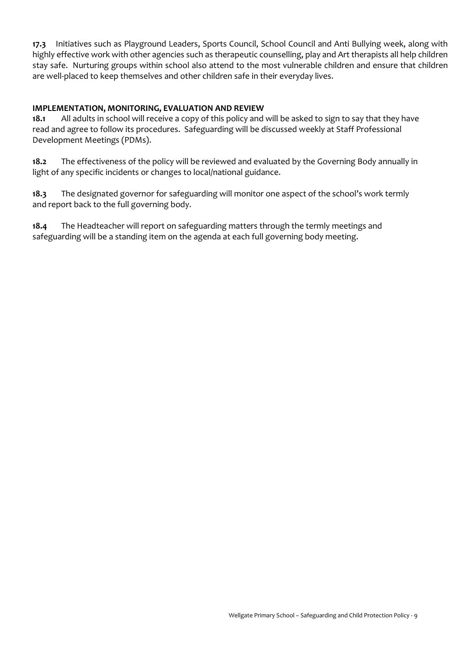**17.3** Initiatives such as Playground Leaders, Sports Council, School Council and Anti Bullying week, along with highly effective work with other agencies such as therapeutic counselling, play and Art therapists all help children stay safe. Nurturing groups within school also attend to the most vulnerable children and ensure that children are well-placed to keep themselves and other children safe in their everyday lives.

### **IMPLEMENTATION, MONITORING, EVALUATION AND REVIEW**

**18.1** All adults in school will receive a copy of this policy and will be asked to sign to say that they have read and agree to follow its procedures. Safeguarding will be discussed weekly at Staff Professional Development Meetings (PDMs).

**18.2** The effectiveness of the policy will be reviewed and evaluated by the Governing Body annually in light of any specific incidents or changes to local/national guidance.

**18.3** The designated governor for safeguarding will monitor one aspect of the school's work termly and report back to the full governing body.

**18.4** The Headteacher will report on safeguarding matters through the termly meetings and safeguarding will be a standing item on the agenda at each full governing body meeting.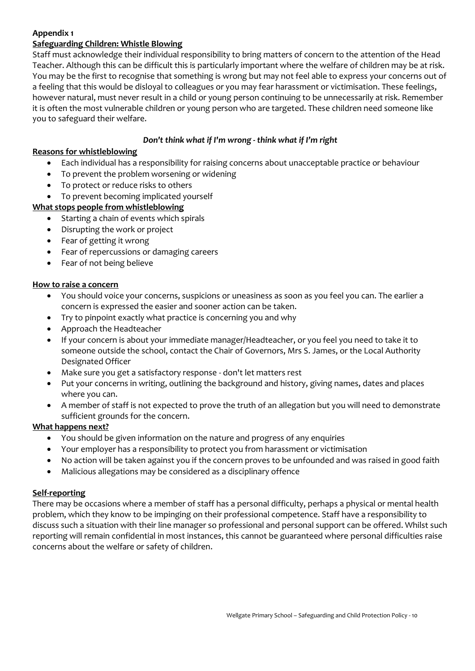# **Appendix 1**

### **Safeguarding Children: Whistle Blowing**

Staff must acknowledge their individual responsibility to bring matters of concern to the attention of the Head Teacher. Although this can be difficult this is particularly important where the welfare of children may be at risk. You may be the first to recognise that something is wrong but may not feel able to express your concerns out of a feeling that this would be disloyal to colleagues or you may fear harassment or victimisation. These feelings, however natural, must never result in a child or young person continuing to be unnecessarily at risk. Remember it is often the most vulnerable children or young person who are targeted. These children need someone like you to safeguard their welfare.

### *Don't think what if I'm wrong - think what if I'm right*

### **Reasons for whistleblowing**

- Each individual has a responsibility for raising concerns about unacceptable practice or behaviour
- To prevent the problem worsening or widening
- To protect or reduce risks to others
- To prevent becoming implicated yourself

### **What stops people from whistleblowing**

- Starting a chain of events which spirals
- Disrupting the work or project
- Fear of getting it wrong
- Fear of repercussions or damaging careers
- Fear of not being believe

### **How to raise a concern**

- You should voice your concerns, suspicions or uneasiness as soon as you feel you can. The earlier a concern is expressed the easier and sooner action can be taken.
- Try to pinpoint exactly what practice is concerning you and why
- Approach the Headteacher
- If your concern is about your immediate manager/Headteacher, or you feel you need to take it to someone outside the school, contact the Chair of Governors, Mrs S. James, or the Local Authority Designated Officer
- Make sure you get a satisfactory response don't let matters rest
- Put your concerns in writing, outlining the background and history, giving names, dates and places where you can.
- A member of staff is not expected to prove the truth of an allegation but you will need to demonstrate sufficient grounds for the concern.

### **What happens next?**

- You should be given information on the nature and progress of any enquiries
- Your employer has a responsibility to protect you from harassment or victimisation
- No action will be taken against you if the concern proves to be unfounded and was raised in good faith
- Malicious allegations may be considered as a disciplinary offence

### **Self-reporting**

There may be occasions where a member of staff has a personal difficulty, perhaps a physical or mental health problem, which they know to be impinging on their professional competence. Staff have a responsibility to discuss such a situation with their line manager so professional and personal support can be offered. Whilst such reporting will remain confidential in most instances, this cannot be guaranteed where personal difficulties raise concerns about the welfare or safety of children.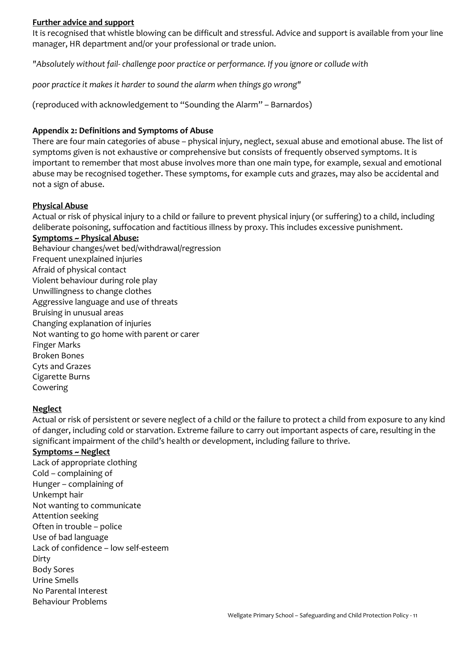#### **Further advice and support**

It is recognised that whistle blowing can be difficult and stressful. Advice and support is available from your line manager, HR department and/or your professional or trade union.

*"Absolutely without fail- challenge poor practice or performance. If you ignore or collude with*

*poor practice it makes it harder to sound the alarm when things go wrong"* 

(reproduced with acknowledgement to "Sounding the Alarm" – Barnardos)

#### **Appendix 2: Definitions and Symptoms of Abuse**

There are four main categories of abuse – physical injury, neglect, sexual abuse and emotional abuse. The list of symptoms given is not exhaustive or comprehensive but consists of frequently observed symptoms. It is important to remember that most abuse involves more than one main type, for example, sexual and emotional abuse may be recognised together. These symptoms, for example cuts and grazes, may also be accidental and not a sign of abuse.

#### **Physical Abuse**

Actual or risk of physical injury to a child or failure to prevent physical injury (or suffering) to a child, including deliberate poisoning, suffocation and factitious illness by proxy. This includes excessive punishment.

#### **Symptoms ~ Physical Abuse:**

Behaviour changes/wet bed/withdrawal/regression Frequent unexplained injuries Afraid of physical contact Violent behaviour during role play Unwillingness to change clothes Aggressive language and use of threats Bruising in unusual areas Changing explanation of injuries Not wanting to go home with parent or carer Finger Marks Broken Bones Cyts and Grazes Cigarette Burns Cowering

#### **Neglect**

Actual or risk of persistent or severe neglect of a child or the failure to protect a child from exposure to any kind of danger, including cold or starvation. Extreme failure to carry out important aspects of care, resulting in the significant impairment of the child's health or development, including failure to thrive.

#### **Symptoms ~ Neglect**

Lack of appropriate clothing Cold – complaining of Hunger – complaining of Unkempt hair Not wanting to communicate Attention seeking Often in trouble – police Use of bad language Lack of confidence – low self-esteem Dirty Body Sores Urine Smells No Parental Interest Behaviour Problems